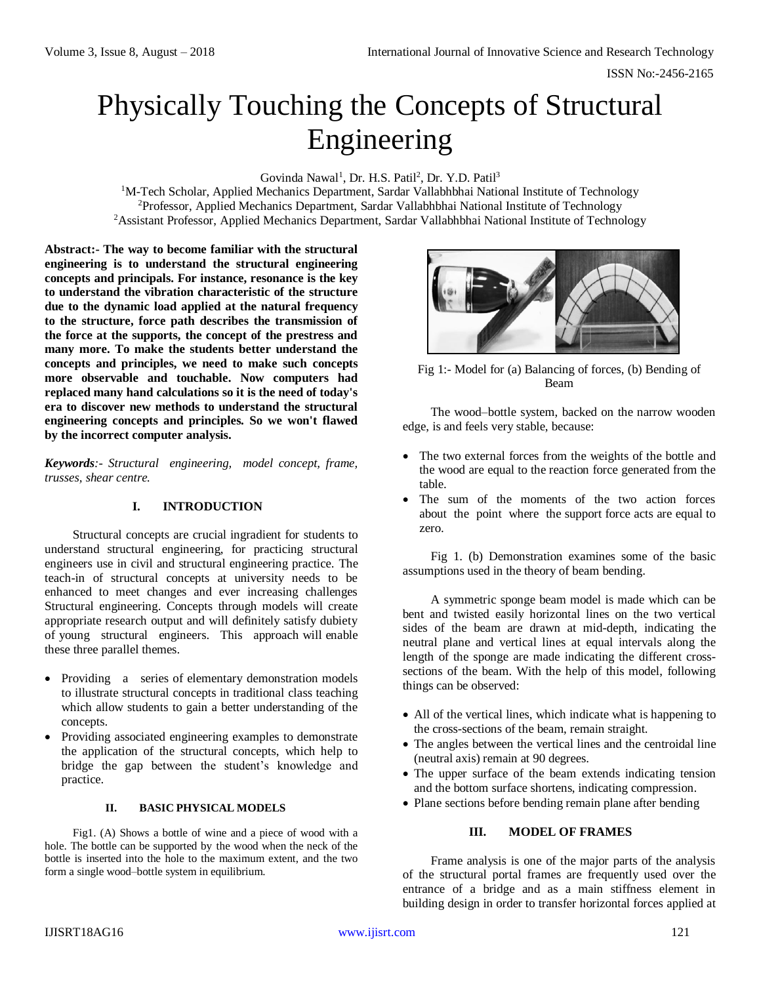# Physically Touching the Concepts of Structural Engineering

Govinda Nawal<sup>1</sup>, Dr. H.S. Patil<sup>2</sup>, Dr. Y.D. Patil<sup>3</sup>

<sup>1</sup>M-Tech Scholar, Applied Mechanics Department, Sardar Vallabhbhai National Institute of Technology <sup>2</sup>Professor, Applied Mechanics Department, Sardar Vallabhbhai National Institute of Technology <sup>2</sup>Assistant Professor, Applied Mechanics Department, Sardar Vallabhbhai National Institute of Technology

**Abstract:- The way to become familiar with the structural engineering is to understand the structural engineering concepts and principals. For instance, resonance is the key to understand the vibration characteristic of the structure due to the dynamic load applied at the natural frequency to the structure, force path describes the transmission of the force at the supports, the concept of the prestress and many more. To make the students better understand the concepts and principles, we need to make such concepts more observable and touchable. Now computers had replaced many hand calculations so it is the need of today's era to discover new methods to understand the structural engineering concepts and principles. So we won't flawed by the incorrect computer analysis.** 

*Keywords:- Structural engineering, model concept, frame, trusses, shear centre.*

## **I. INTRODUCTION**

Structural concepts are crucial ingradient for students to understand structural engineering, for practicing structural engineers use in civil and structural engineering practice. The teach-in of structural concepts at university needs to be enhanced to meet changes and ever increasing challenges Structural engineering. Concepts through models will create appropriate research output and will definitely satisfy dubiety of young structural engineers. This approach will enable these three parallel themes.

- Providing a series of elementary demonstration models to illustrate structural concepts in traditional class teaching which allow students to gain a better understanding of the concepts.
- Providing associated engineering examples to demonstrate the application of the structural concepts, which help to bridge the gap between the student's knowledge and practice.

## **II. BASIC PHYSICAL MODELS**

Fig1. (A) Shows a bottle of wine and a piece of wood with a hole. The bottle can be supported by the wood when the neck of the bottle is inserted into the hole to the maximum extent, and the two form a single wood–bottle system in equilibrium.



Fig 1:- Model for (a) Balancing of forces, (b) Bending of Beam

The wood–bottle system, backed on the narrow wooden edge, is and feels very stable, because:

- The two external forces from the weights of the bottle and the wood are equal to the reaction force generated from the table.
- The sum of the moments of the two action forces about the point where the support force acts are equal to zero.

Fig 1. (b) Demonstration examines some of the basic assumptions used in the theory of beam bending.

A symmetric sponge beam model is made which can be bent and twisted easily horizontal lines on the two vertical sides of the beam are drawn at mid-depth, indicating the neutral plane and vertical lines at equal intervals along the length of the sponge are made indicating the different crosssections of the beam. With the help of this model, following things can be observed:

- All of the vertical lines, which indicate what is happening to the cross-sections of the beam, remain straight.
- The angles between the vertical lines and the centroidal line (neutral axis) remain at 90 degrees.
- The upper surface of the beam extends indicating tension and the bottom surface shortens, indicating compression.
- Plane sections before bending remain plane after bending

## **III. MODEL OF FRAMES**

Frame analysis is one of the major parts of the analysis of the structural portal frames are frequently used over the entrance of a bridge and as a main stiffness element in building design in order to transfer horizontal forces applied at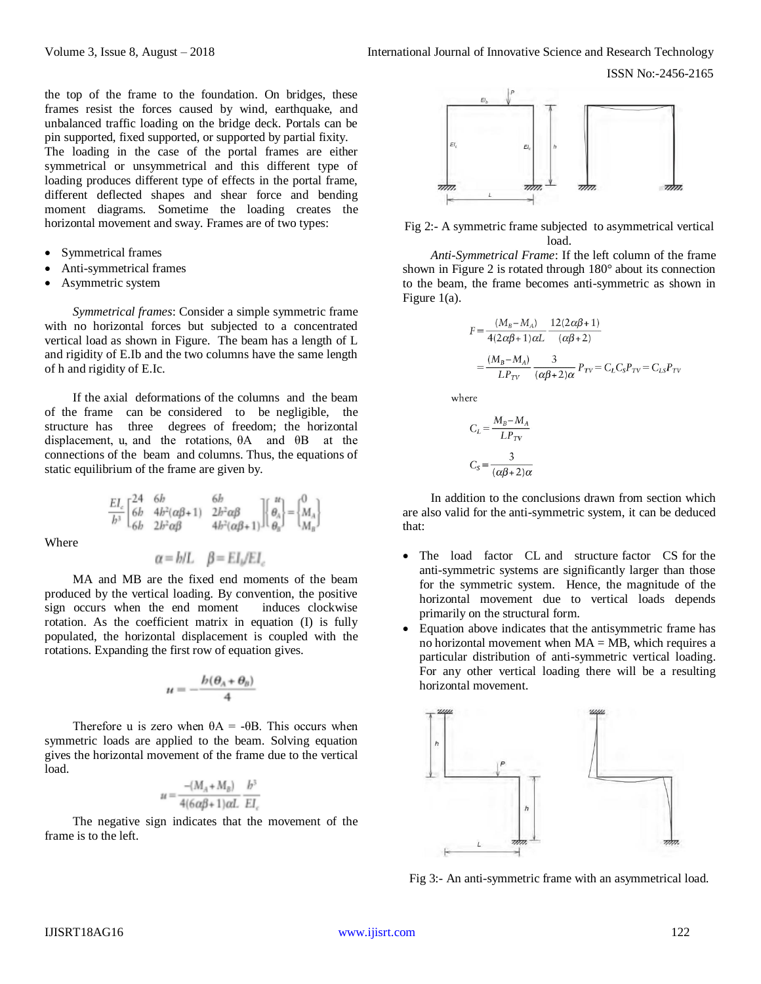the top of the frame to the foundation. On bridges, these frames resist the forces caused by wind, earthquake, and unbalanced traffic loading on the bridge deck. Portals can be pin supported, fixed supported, or supported by partial fixity. The loading in the case of the portal frames are either symmetrical or unsymmetrical and this different type of loading produces different type of effects in the portal frame, different deflected shapes and shear force and bending moment diagrams. Sometime the loading creates the horizontal movement and sway. Frames are of two types:

- Symmetrical frames
- Anti-symmetrical frames
- Asymmetric system

*Symmetrical frames*: Consider a simple symmetric frame with no horizontal forces but subjected to a concentrated vertical load as shown in Figure. The beam has a length of L and rigidity of E.Ib and the two columns have the same length of h and rigidity of E.Ic.

If the axial deformations of the columns and the beam of the frame can be considered to be negligible, the structure has three degrees of freedom; the horizontal displacement, u, and the rotations, θA and θB at the connections of the beam and columns. Thus, the equations of static equilibrium of the frame are given by.

$$
\frac{EI_c}{b^3} \begin{bmatrix} 24 & 6b & 6b \\ 6b & 4b^2(\alpha\beta + 1) & 2b^2\alpha\beta \\ 6b & 2b^2\alpha\beta & 4b^2(\alpha\beta + 1) \end{bmatrix} \begin{bmatrix} u \\ \theta_A \\ \theta_B \end{bmatrix} = \begin{Bmatrix} 0 \\ M_A \\ M_B \end{Bmatrix}
$$

Where

$$
\alpha = h/L
$$
  $\beta = EI/EL$ 

MA and MB are the fixed end moments of the beam produced by the vertical loading. By convention, the positive sign occurs when the end moment induces clockwise  $sign$  occurs when the end moment rotation. As the coefficient matrix in equation (I) is fully populated, the horizontal displacement is coupled with the rotations. Expanding the first row of equation gives.

$$
u=-\frac{b(\theta_A+\theta_B)}{4}
$$

Therefore u is zero when  $\theta A = -\theta B$ . This occurs when symmetric loads are applied to the beam. Solving equation gives the horizontal movement of the frame due to the vertical load.

$$
u = \frac{-(M_A + M_B)}{4(6\alpha\beta + 1)\alpha L} \frac{h^3}{EL}
$$

The negative sign indicates that the movement of the frame is to the left.



Fig 2:- A symmetric frame subjected to asymmetrical vertical load.

*Anti-Symmetrical Frame*: If the left column of the frame shown in Figure 2 is rotated through 180° about its connection to the beam, the frame becomes anti-symmetric as shown in Figure 1(a).

$$
F = \frac{(M_B - M_A)}{4(2\alpha\beta + 1)\alpha L} \frac{12(2\alpha\beta + 1)}{(\alpha\beta + 2)}
$$
  
= 
$$
\frac{(M_B - M_A)}{LP_{TV}} \frac{3}{(\alpha\beta + 2)\alpha} P_{TV} = C_L C_S P_{TV} = C_{LS} P_{TV}
$$

where

$$
C_L = \frac{M_B - M_A}{LP_{TV}}
$$

$$
C_S = \frac{3}{(\alpha \beta + 2)\alpha}
$$

In addition to the conclusions drawn from section which are also valid for the anti-symmetric system, it can be deduced that:

- The load factor CL and structure factor CS for the anti-symmetric systems are significantly larger than those for the symmetric system. Hence, the magnitude of the horizontal movement due to vertical loads depends primarily on the structural form.
- Equation above indicates that the antisymmetric frame has no horizontal movement when  $MA = MB$ , which requires a particular distribution of anti-symmetric vertical loading. For any other vertical loading there will be a resulting horizontal movement.



Fig 3:- An anti-symmetric frame with an asymmetrical load.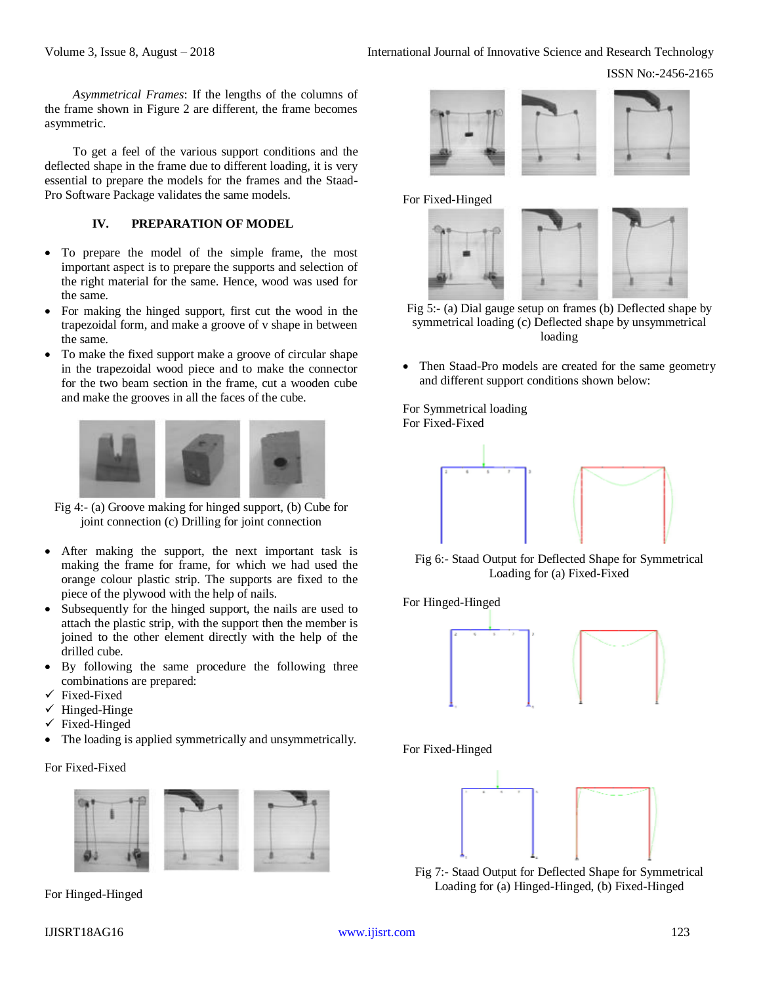*Asymmetrical Frames*: If the lengths of the columns of the frame shown in Figure 2 are different, the frame becomes asymmetric.

To get a feel of the various support conditions and the deflected shape in the frame due to different loading, it is very essential to prepare the models for the frames and the Staad-Pro Software Package validates the same models.

## **IV. PREPARATION OF MODEL**

- To prepare the model of the simple frame, the most important aspect is to prepare the supports and selection of the right material for the same. Hence, wood was used for the same.
- For making the hinged support, first cut the wood in the trapezoidal form, and make a groove of v shape in between the same.
- To make the fixed support make a groove of circular shape in the trapezoidal wood piece and to make the connector for the two beam section in the frame, cut a wooden cube and make the grooves in all the faces of the cube.



Fig 4:- (a) Groove making for hinged support, (b) Cube for joint connection (c) Drilling for joint connection

- After making the support, the next important task is making the frame for frame, for which we had used the orange colour plastic strip. The supports are fixed to the piece of the plywood with the help of nails.
- Subsequently for the hinged support, the nails are used to attach the plastic strip, with the support then the member is joined to the other element directly with the help of the drilled cube.
- By following the same procedure the following three combinations are prepared:
- Fixed-Fixed
- $\checkmark$  Hinged-Hinge
- Fixed-Hinged
- The loading is applied symmetrically and unsymmetrically.

#### For Fixed-Fixed



For Hinged-Hinged



For Fixed-Hinged



- Fig 5:- (a) Dial gauge setup on frames (b) Deflected shape by symmetrical loading (c) Deflected shape by unsymmetrical loading
- Then Staad-Pro models are created for the same geometry and different support conditions shown below:

For Symmetrical loading For Fixed-Fixed



Fig 6:- Staad Output for Deflected Shape for Symmetrical Loading for (a) Fixed-Fixed

For Hinged-Hinged



For Fixed-Hinged



Fig 7:- Staad Output for Deflected Shape for Symmetrical Loading for (a) Hinged-Hinged, (b) Fixed-Hinged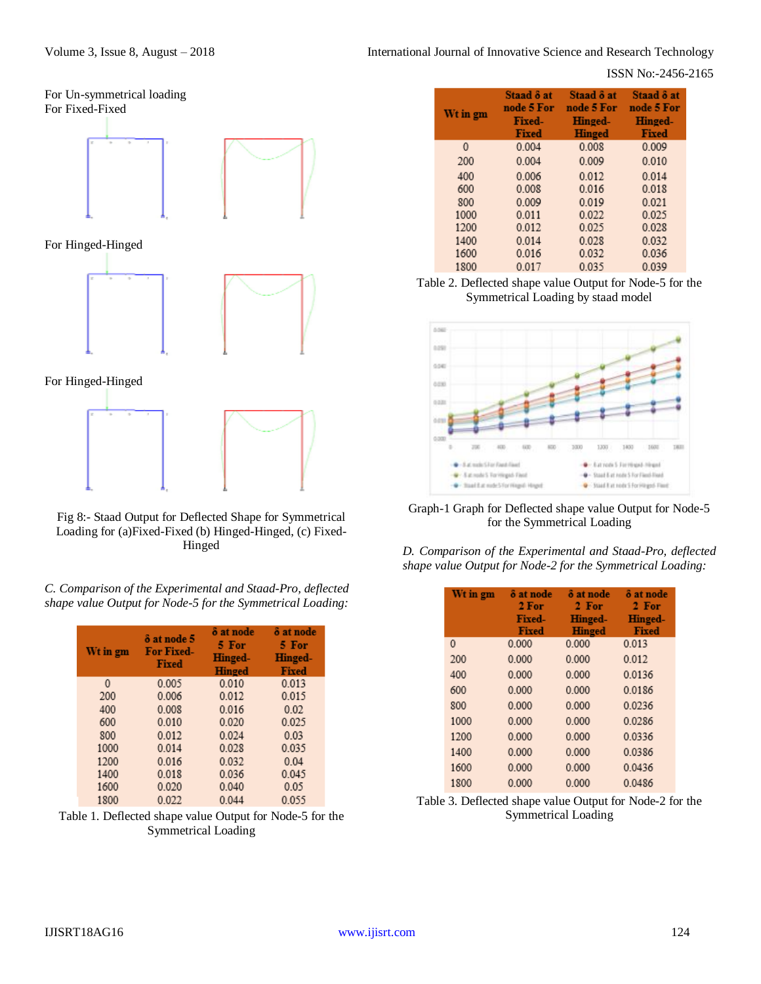## ISSN No:-2456-2165



Fig 8:- Staad Output for Deflected Shape for Symmetrical Loading for (a)Fixed-Fixed (b) Hinged-Hinged, (c) Fixed-Hinged

*C. Comparison of the Experimental and Staad-Pro, deflected shape value Output for Node-5 for the Symmetrical Loading:*

| Wt in gm | $\delta$ at node 5<br><b>For Fixed-</b><br>Fixed | δ at node<br>5 For<br><b>Hinged-</b><br><b>Hinged</b> | <b><math>\delta</math></b> at node<br>5 For<br><b>Hinged-</b><br><b>Fixed</b> |
|----------|--------------------------------------------------|-------------------------------------------------------|-------------------------------------------------------------------------------|
| $\Omega$ | 0.005                                            | 0.010                                                 | 0.013                                                                         |
| 200      | 0.006                                            | 0.012                                                 | 0.015                                                                         |
| 400      | 0.008                                            | 0.016                                                 | 0.02                                                                          |
| 600      | 0.010                                            | 0.020                                                 | 0.025                                                                         |
| 800      | 0.012                                            | 0.024                                                 | 0.03                                                                          |
| 1000     | 0.014                                            | 0.028                                                 | 0.035                                                                         |
| 1200     | 0.016                                            | 0.032                                                 | 0.04                                                                          |
| 1400     | 0.018                                            | 0.036                                                 | 0.045                                                                         |
| 1600     | 0.020                                            | 0.040                                                 | 0.05                                                                          |
| 1800     | 0.022                                            | 0.044                                                 | 0.055                                                                         |

Table 1. Deflected shape value Output for Node-5 for the Symmetrical Loading

| Wt in gm | Staad $\delta$ at<br>node 5 For<br><b>Fixed-</b><br>Fixed | Staad 8 at<br>node 5 For<br>Hinged-<br>Hinged | Staad $\delta$ at<br>node 5 For<br><b>Hinged-</b><br>Fixed |
|----------|-----------------------------------------------------------|-----------------------------------------------|------------------------------------------------------------|
| 0        | 0.004                                                     | 0.008                                         | 0.009                                                      |
| 200      | 0.004                                                     | 0.009                                         | 0.010                                                      |
| 400      | 0.006                                                     | 0.012                                         | 0.014                                                      |
| 600      | 0.008                                                     | 0.016                                         | 0.018                                                      |
| 800      | 0.009                                                     | 0.019                                         | 0.021                                                      |
| 1000     | 0.011                                                     | 0.022                                         | 0.025                                                      |
| 1200     | 0.012                                                     | 0.025                                         | 0.028                                                      |
| 1400     | 0.014                                                     | 0.028                                         | 0.032                                                      |
| 1600     | 0.016                                                     | 0.032                                         | 0.036                                                      |
| 1800     | 0.017                                                     | 0.035                                         | 0.039                                                      |

Table 2. Deflected shape value Output for Node-5 for the Symmetrical Loading by staad model



Graph-1 Graph for Deflected shape value Output for Node-5 for the Symmetrical Loading

| D. Comparison of the Experimental and Staad-Pro, deflected |  |  |  |
|------------------------------------------------------------|--|--|--|
| shape value Output for Node-2 for the Symmetrical Loading: |  |  |  |

| Wt in gm | å at node<br>2 For<br><b>Fixed-</b><br><b>Fixed</b> | $\delta$ at node<br>2 For<br><b>Hinged-</b><br>Hinged | <b><math>\delta</math></b> at node<br>2 For<br><b>Hinged-</b><br><b>Fixed</b> |
|----------|-----------------------------------------------------|-------------------------------------------------------|-------------------------------------------------------------------------------|
| 0        | 0.000                                               | 0.000                                                 | 0.013                                                                         |
| 200      | 0000                                                | 0000                                                  | 0.012                                                                         |
| 400      | 0.000                                               | 0.000                                                 | 0.0136                                                                        |
| 600      | 0.000                                               | 0.000                                                 | 0.0186                                                                        |
| 800      | 0.000                                               | 0.000                                                 | 0.0236                                                                        |
| 1000     | 0000                                                | 0000                                                  | 0.0286                                                                        |
| 1200     | 0.000                                               | 0000                                                  | 00336                                                                         |
| 1400     | 0.000                                               | 0.000                                                 | 0.0386                                                                        |
| 1600     | 0.000                                               | 0.000                                                 | 0.0436                                                                        |
| 1800     | 0.000                                               | 0.000                                                 | 0.0486                                                                        |

Table 3. Deflected shape value Output for Node-2 for the Symmetrical Loading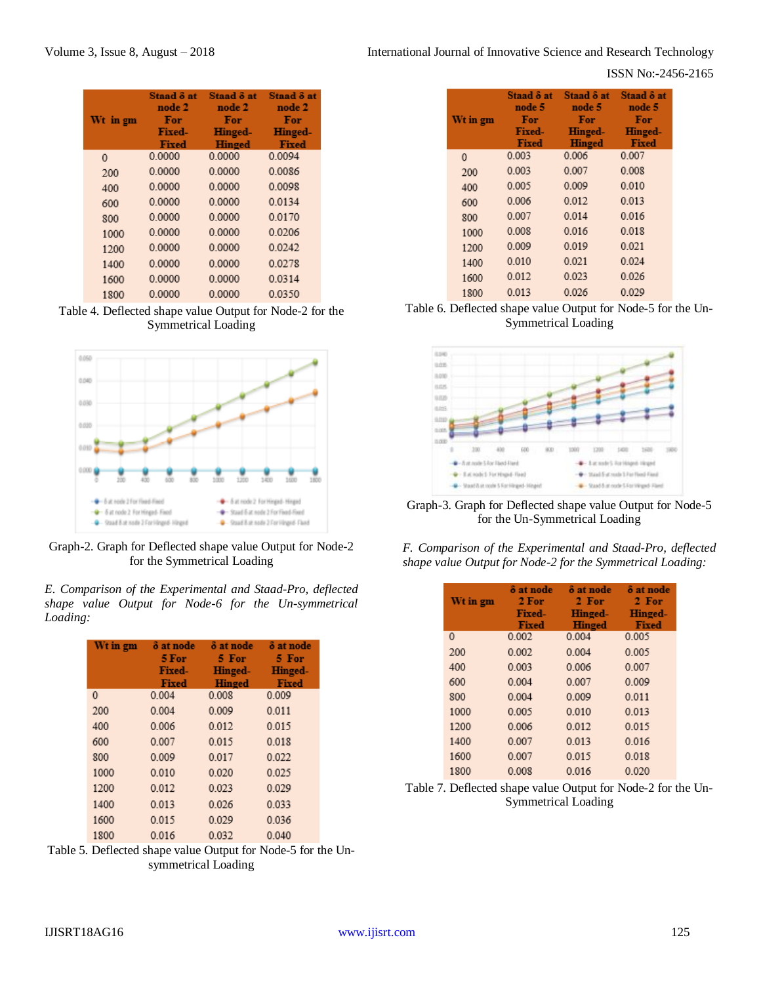#### ISSN No:-2456-2165

| Wt in gm     | Staad & at<br>node 2<br>For | Staad $\delta$ at<br>node 2<br>For | Staad $\delta$ at<br>node 2<br>For |
|--------------|-----------------------------|------------------------------------|------------------------------------|
|              | <b>Fixed-</b>               | <b>Hinged-</b>                     | <b>Hinged-</b>                     |
| $\mathbf{0}$ | Fixed<br>0.0000             | <b>Hinged</b><br>0.0000            | <b>Fixed</b><br>0.0094             |
| 200          | 0.0000                      | 0.0000                             | 0.0086                             |
| 400          | 0.0000                      | 0.0000                             | 0.0098                             |
| 600          | 0.0000                      | 0.0000                             | 0.0134                             |
| 800          | 0.0000                      | 0.0000                             | 0.0170                             |
| 1000         | 0.0000                      | 0.0000                             | 0.0206                             |
| 1200         | 0.0000                      | 0.0000                             | 0.0242                             |
| 1400         | 0.0000                      | 0.0000                             | 0.0278                             |
| 1600         | 0.0000                      | 0.0000                             | 0.0314                             |
| 1800         | 0.0000                      | 0.0000                             | 0.0350                             |

Table 4. Deflected shape value Output for Node-2 for the Symmetrical Loading



Graph-2. Graph for Deflected shape value Output for Node-2 for the Symmetrical Loading

*E. Comparison of the Experimental and Staad-Pro, deflected shape value Output for Node-6 for the Un-symmetrical Loading:*

| Wt in gm | $\delta$ at node<br>5 For<br><b>Fixed-</b><br>Fixed | $\delta$ at node<br>5 For<br>Hinged-<br><b>Hinged</b> | $\delta$ at node<br>5 For<br><b>Hinged-</b><br>Fixed |
|----------|-----------------------------------------------------|-------------------------------------------------------|------------------------------------------------------|
| 0        | 0.004                                               | 0.008                                                 | 0.009                                                |
| 200      | 0.004                                               | 0.009                                                 | 0.011                                                |
| 400      | 0.006                                               | 0.012                                                 | 0.015                                                |
| 600      | 0.007                                               | 0.015                                                 | 0.018                                                |
| 800      | 0.009                                               | 0.017                                                 | 0.022                                                |
| 1000     | 0.010                                               | 0.020                                                 | 0.025                                                |
| 1200     | 0.012                                               | 0.023                                                 | 0.029                                                |
| 1400     | 0.013                                               | 0.026                                                 | 0.033                                                |
| 1600     | 0.015                                               | 0.029                                                 | 0.036                                                |
| 1800     | 0.016                                               | 0.032                                                 | 0.040                                                |

Table 5. Deflected shape value Output for Node-5 for the Unsymmetrical Loading

| Wt in gm | Staad $\delta$ at<br>node 5<br>For<br>Fixed-<br><b>Fixed</b> | Staad $\delta$ at<br>node 5<br>For<br><b>Hinged-</b><br><b>Hinged</b> | Staad $\delta$ at<br>node 5<br>For<br><b>Hinged-</b><br><b>Fixed</b> |
|----------|--------------------------------------------------------------|-----------------------------------------------------------------------|----------------------------------------------------------------------|
| 0        | 0.003                                                        | 0.006                                                                 | 0.007                                                                |
| 200      | 0.003                                                        | 0.007                                                                 | 0.008                                                                |
| 400      | 0.005                                                        | 0.009                                                                 | 0.010                                                                |
| 600      | 0.006                                                        | 0.012                                                                 | 0.013                                                                |
| 800      | 0.007                                                        | 0.014                                                                 | 0.016                                                                |
| 1000     | 0.008                                                        | 0.016                                                                 | 0.018                                                                |
| 1200     | 0.009                                                        | 0.019                                                                 | 0.021                                                                |
| 1400     | 0.010                                                        | 0.021                                                                 | 0.024                                                                |
| 1600     | 0.012                                                        | 0.023                                                                 | 0.026                                                                |
| 1800     | 0.013                                                        | 0.026                                                                 | 0.029                                                                |

Table 6. Deflected shape value Output for Node-5 for the Un-Symmetrical Loading



Graph-3. Graph for Deflected shape value Output for Node-5 for the Un-Symmetrical Loading

|  | F. Comparison of the Experimental and Staad-Pro, deflected |  |  |
|--|------------------------------------------------------------|--|--|
|  | shape value Output for Node-2 for the Symmetrical Loading: |  |  |

| Wt in gm     | $\delta$ at node<br>2 For<br><b>Fixed-</b><br>Fixed | $\delta$ at node<br>2 For<br><b>Hinged-</b><br><b>Hinged</b> | $\delta$ at node<br>2 For<br>Hinged-<br>Fixed |
|--------------|-----------------------------------------------------|--------------------------------------------------------------|-----------------------------------------------|
| $\mathbf{0}$ | 0.002                                               | 0.004                                                        | 0.005                                         |
| 200          | 0.002                                               | 0.004                                                        | 0.005                                         |
| 400          | 0.003                                               | 0.006                                                        | 0.007                                         |
| 600          | 0.004                                               | 0.007                                                        | 0.009                                         |
| 800          | 0.004                                               | 0.009                                                        | 0.011                                         |
| 1000         | 0.005                                               | 0.010                                                        | 0.013                                         |
| 1200         | 0.006                                               | 0.012                                                        | 0.015                                         |
| 1400         | 0.007                                               | 0.013                                                        | 0.016                                         |
| 1600         | 0.007                                               | 0.015                                                        | 0.018                                         |
| 1800         | 0.008                                               | 0.016                                                        | 0.020                                         |

Table 7. Deflected shape value Output for Node-2 for the Un-Symmetrical Loading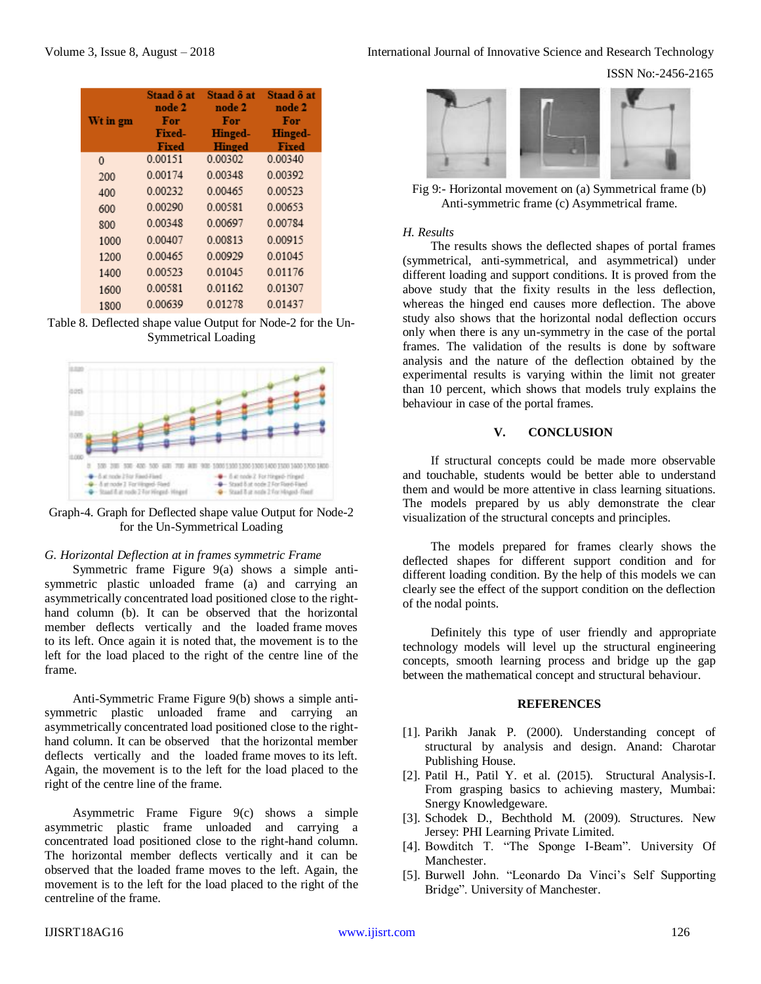| Wt in gm | Staad $\delta$ at<br>node 2<br>For<br><b>Fixed-</b><br>Fixed | Staad $\delta$ at<br>node 2<br>For<br><b>Hinged-</b><br><b>Hinged</b> | Staad $\delta$ at<br>node 2<br>For<br>Hinged-<br>Fixed |
|----------|--------------------------------------------------------------|-----------------------------------------------------------------------|--------------------------------------------------------|
| 0        | 0.00151                                                      | 0.00302                                                               | 0.00340                                                |
| 200      | 0.00174                                                      | 0.00348                                                               | 0.00392                                                |
| 400      | 0.00232                                                      | 0.00465                                                               | 0.00523                                                |
| 600      | 0.00290                                                      | 0.00581                                                               | 0.00653                                                |
| 800      | 0.00348                                                      | 0.00697                                                               | 0.00784                                                |
| 1000     | 0.00407                                                      | 0.00813                                                               | 0.00915                                                |
| 1200     | 0.00465                                                      | 0.00929                                                               | 0.01045                                                |
| 1400     | 0.00523                                                      | 0.01045                                                               | 0.01176                                                |
| 1600     | 0.00581                                                      | 0.01162                                                               | 0.01307                                                |
| 1800     | 0.00639                                                      | 0.01278                                                               | 0.01437                                                |

Table 8. Deflected shape value Output for Node-2 for the Un-Symmetrical Loading



Graph-4. Graph for Deflected shape value Output for Node-2 for the Un-Symmetrical Loading

## *G. Horizontal Deflection at in frames symmetric Frame*

Symmetric frame Figure 9(a) shows a simple antisymmetric plastic unloaded frame (a) and carrying an asymmetrically concentrated load positioned close to the righthand column (b). It can be observed that the horizontal member deflects vertically and the loaded frame moves to its left. Once again it is noted that, the movement is to the left for the load placed to the right of the centre line of the frame.

Anti-Symmetric Frame Figure 9(b) shows a simple antisymmetric plastic unloaded frame and carrying an asymmetrically concentrated load positioned close to the righthand column. It can be observed that the horizontal member deflects vertically and the loaded frame moves to its left. Again, the movement is to the left for the load placed to the right of the centre line of the frame.

Asymmetric Frame Figure 9(c) shows a simple asymmetric plastic frame unloaded and carrying a concentrated load positioned close to the right-hand column. The horizontal member deflects vertically and it can be observed that the loaded frame moves to the left. Again, the movement is to the left for the load placed to the right of the centreline of the frame.

ISSN No:-2456-2165



Fig 9:- Horizontal movement on (a) Symmetrical frame (b) Anti-symmetric frame (c) Asymmetrical frame.

#### *H. Results*

The results shows the deflected shapes of portal frames (symmetrical, anti-symmetrical, and asymmetrical) under different loading and support conditions. It is proved from the above study that the fixity results in the less deflection, whereas the hinged end causes more deflection. The above study also shows that the horizontal nodal deflection occurs only when there is any un-symmetry in the case of the portal frames. The validation of the results is done by software analysis and the nature of the deflection obtained by the experimental results is varying within the limit not greater than 10 percent, which shows that models truly explains the behaviour in case of the portal frames.

#### **V. CONCLUSION**

If structural concepts could be made more observable and touchable, students would be better able to understand them and would be more attentive in class learning situations. The models prepared by us ably demonstrate the clear visualization of the structural concepts and principles.

The models prepared for frames clearly shows the deflected shapes for different support condition and for different loading condition. By the help of this models we can clearly see the effect of the support condition on the deflection of the nodal points.

Definitely this type of user friendly and appropriate technology models will level up the structural engineering concepts, smooth learning process and bridge up the gap between the mathematical concept and structural behaviour.

#### **REFERENCES**

- [1]. Parikh Janak P. (2000). Understanding concept of structural by analysis and design. Anand: Charotar Publishing House.
- [2]. Patil H., Patil Y. et al. (2015). Structural Analysis-I. From grasping basics to achieving mastery, Mumbai: Snergy Knowledgeware.
- [3]. Schodek D., Bechthold M. (2009). Structures. New Jersey: PHI Learning Private Limited.
- [4]. Bowditch T. "The Sponge I-Beam". University Of Manchester.
- [5]. Burwell John. "Leonardo Da Vinci's Self Supporting Bridge". University of Manchester.